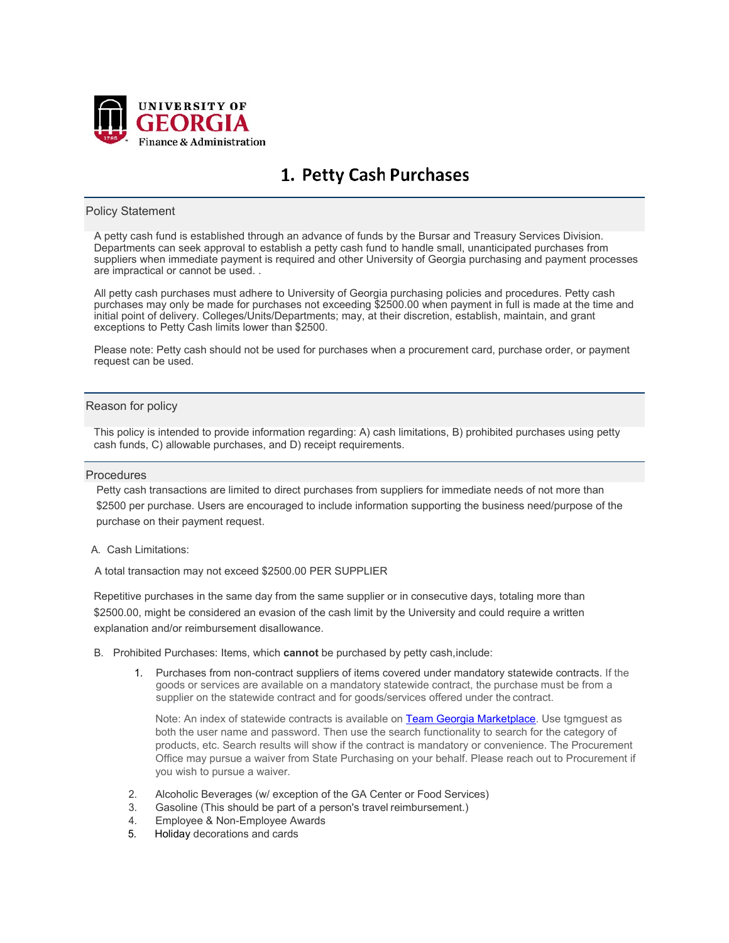

# 1. Petty Cash Purchases

### Policy Statement

A petty cash fund is established through an advance of funds by the Bursar and Treasury Services Division. Departments can seek approval to establish a petty cash fund to handle small, unanticipated purchases from suppliers when immediate payment is required and other University of Georgia purchasing and payment processes are impractical or cannot be used. .

All petty cash purchases must adhere to University of Georgia purchasing policies and procedures. Petty cash purchases may only be made for purchases not exceeding \$2500.00 when payment in full is made at the time and initial point of delivery. Colleges/Units/Departments; may, at their discretion, establish, maintain, and grant exceptions to Petty Cash limits lower than \$2500.

Please note: Petty cash should not be used for purchases when a procurement card, purchase order, or payment request can be used.

## Reason for policy

This policy is intended to provide information regarding: A) cash limitations, B) prohibited purchases using petty cash funds, C) allowable purchases, and D) receipt requirements.

#### **Procedures**

Petty cash transactions are limited to direct purchases from suppliers for immediate needs of not more than \$2500 per purchase. Users are encouraged to include information supporting the business need/purpose of the purchase on their payment request.

#### A. Cash Limitations:

A total transaction may not exceed \$2500.00 PER SUPPLIER

Repetitive purchases in the same day from the same supplier or in consecutive days, totaling more than \$2500.00, might be considered an evasion of the cash limit by the University and could require a written explanation and/or reimbursement disallowance.

- B. Prohibited Purchases: Items, which **cannot** be purchased by petty cash,include:
	- 1. Purchases from non-contract suppliers of items covered under mandatory statewide contracts. If the goods or services are available on a mandatory statewide contract, the purchase must be from a supplier on the statewide contract and for goods/services offered under the contract.

Note: An index of statewide contracts is available on [Team Georgia Marketplace.](http://doas.ga.gov/state-purchasing/team-georgia-marketplace) Use tgmguest as both the user name and password. Then use the search functionality to search for the category of products, etc. Search results will show if the contract is mandatory or convenience. The Procurement Office may pursue a waiver from State Purchasing on your behalf. Please reach out to Procurement if you wish to pursue a waiver.

- 2. Alcoholic Beverages (w/ exception of the GA Center or Food Services)
- 3. Gasoline (This should be part of a person's travel reimbursement.)
- 4. Employee & Non-Employee Awards
- 5. Holiday decorations and cards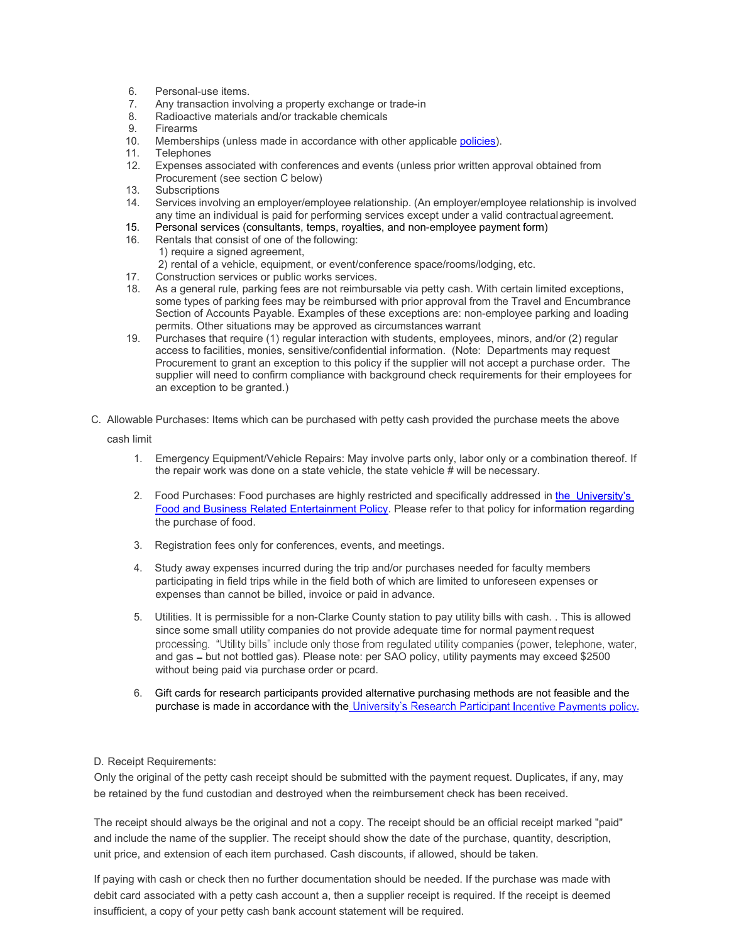- 6. Personal-use items.
- 7. Any transaction involving a property exchange or trade-in
- 8. Radioactive materials and/or trackable chemicals
- 9. Firearms
- 10. Memberships (unless made in accordance with other applicable [policies\)](https://policies.uga.edu/pdf/memberships_and_dues.pdf).
- 11. Telephones
- 12. Expenses associated with conferences and events (unless prior written approval obtained from Procurement (see section C below)
- 13. Subscriptions<br>14. Services invol
- 14. Services involving an employer/employee relationship. (An employer/employee relationship is involved any time an individual is paid for performing services except under a valid contractualagreement.
- 15. Personal services (consultants, temps, royalties, and non-employee payment form)
- 16. Rentals that consist of one of the following: 1) require a signed agreement, 2) rental of a vehicle, equipment, or event/conference space/rooms/lodging, etc.
- 17. Construction services or public works services.
- 18. As a general rule, parking fees are not reimbursable via petty cash. With certain limited exceptions, some types of parking fees may be reimbursed with prior approval from the Travel and Encumbrance Section of Accounts Payable. Examples of these exceptions are: non-employee parking and loading permits. Other situations may be approved as circumstances warrant
- 19. Purchases that require (1) regular interaction with students, employees, minors, and/or (2) regular access to facilities, monies, sensitive/confidential information. (Note: Departments may request Procurement to grant an exception to this policy if the supplier will not accept a purchase order. The supplier will need to confirm compliance with background check requirements for their employees for an exception to be granted.)
- C. Allowable Purchases: Items which can be purchased with petty cash provided the purchase meets the above

cash limit

- 1. Emergency Equipment/Vehicle Repairs: May involve parts only, labor only or a combination thereof. If the repair work was done on a state vehicle, the state vehicle # will be necessary.
- 2. Food Purchases: Food purchases are highly restricted and specifically addressed in [the](https://policies.uga.edu/pdf/food_and_business_related_entertainment.pdf) University's [Food and Business Related Entertainment Policy.](https://policies.uga.edu/pdf/food_and_business_related_entertainment.pdf) Please refer to that policy for information regarding the purchase of food.
- 3. Registration fees only for conferences, events, and meetings.
- 4. Study away expenses incurred during the trip and/or purchases needed for faculty members participating in field trips while in the field both of which are limited to unforeseen expenses or expenses than cannot be billed, invoice or paid in advance.
- 5. Utilities. It is permissible for a non-Clarke County station to pay utility bills with cash. . This is allowed since some small utility companies do not provide adequate time for normal payment request processing. "Utility bills" include only those from regulated utility companies (power, telephone, water, and gas - but not bottled gas). Please note: per SAO policy, utility payments may exceed \$2500 without being paid via purchase order or pcard.
- 6. Gift cards for research participants provided alternative purchasing methods are not feasible and the purchase is made in accordance with the University's Research Participant Incentive Payments policy[.](https://policies.uga.edu/pdf/research_participants.pdf)

# D. Receipt Requirements:

Only the original of the petty cash receipt should be submitted with the payment request. Duplicates, if any, may be retained by the fund custodian and destroyed when the reimbursement check has been received.

The receipt should always be the original and not a copy. The receipt should be an official receipt marked "paid" and include the name of the supplier. The receipt should show the date of the purchase, quantity, description, unit price, and extension of each item purchased. Cash discounts, if allowed, should be taken.

If paying with cash or check then no further documentation should be needed. If the purchase was made with debit card associated with a petty cash account a, then a supplier receipt is required. If the receipt is deemed insufficient, a copy of your petty cash bank account statement will be required.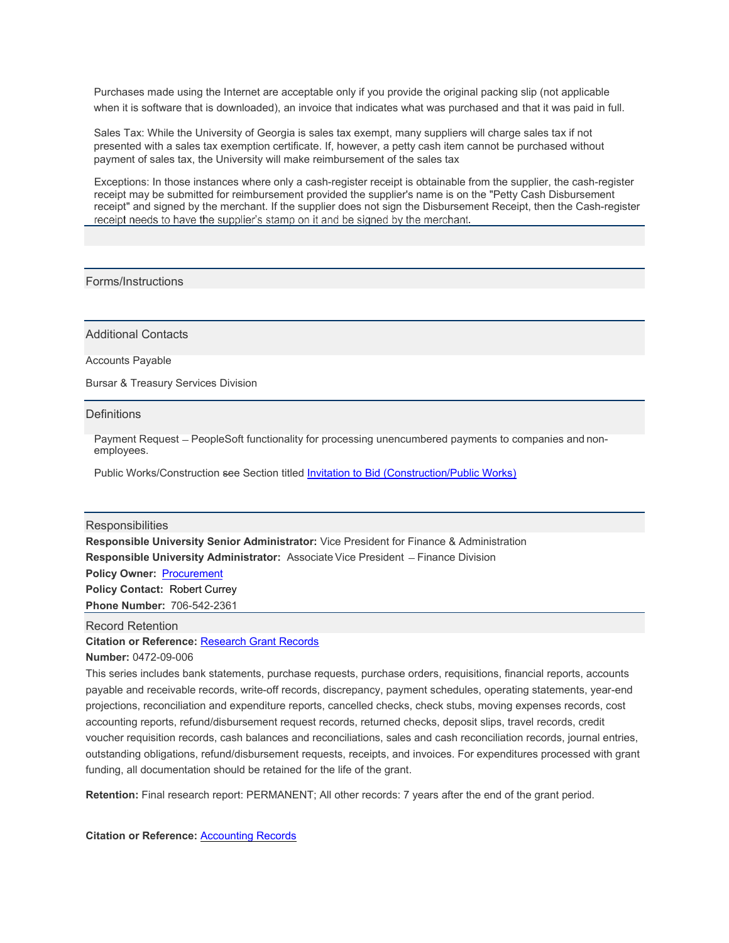Purchases made using the Internet are acceptable only if you provide the original packing slip (not applicable when it is software that is downloaded), an invoice that indicates what was purchased and that it was paid in full.

Sales Tax: While the University of Georgia is sales tax exempt, many suppliers will charge sales tax if not presented with a sales tax exemption certificate. If, however, a petty cash item cannot be purchased without payment of sales tax, the University will make reimbursement of the sales tax

Exceptions: In those instances where only a cash-register receipt is obtainable from the supplier, the cash-register receipt may be submitted for reimbursement provided the supplier's name is on the "Petty Cash Disbursement receipt" and signed by the merchant. If the supplier does not sign the Disbursement Receipt, then the Cash-register receipt needs to have the supplier's stamp on it and be signed by the merchant.

# Forms/Instructions

Additional Contacts

Accounts Payable

Bursar & Treasury Services Division

**Definitions** 

Payment Request - PeopleSoft functionality for processing unencumbered payments to companies and nonemployees.

Public Works/Construction see Section titled [Invitation to Bid \(Construction/Public Works\)](https://policies.uga.edu/pdf/invitation_to_bid_construction_public_works.pdf)

#### **Responsibilities**

**Responsible University Senior Administrator:** Vice President for Finance & Administration **Responsible University Administrator:** Associate Vice President - Finance Division **Policy Owner:** [Procurement](https://busfin.uga.edu/procurement/) **Policy Contact:** [Robert Currey](mailto:Bob.Currey@uga.edu) **Phone Number:** 706-542-2361

**Citation or Reference:** [Research Grant Records](https://www.usg.edu/records_management/schedules/usg_search/21d76b2aefa234440a6a86b878450c6c/) Record Retention

**Number:** 0472-09-006

This series includes bank statements, purchase requests, purchase orders, requisitions, financial reports, accounts payable and receivable records, write-off records, discrepancy, payment schedules, operating statements, year-end projections, reconciliation and expenditure reports, cancelled checks, check stubs, moving expenses records, cost accounting reports, refund/disbursement request records, returned checks, deposit slips, travel records, credit voucher requisition records, cash balances and reconciliations, sales and cash reconciliation records, journal entries, outstanding obligations, refund/disbursement requests, receipts, and invoices. For expenditures processed with grant funding, all documentation should be retained for the life of the grant.

**Retention:** Final research report: PERMANENT; All other records: 7 years after the end of the grant period.

**Citation or Reference:** [Accounting Records](https://www.usg.edu/records_management/schedules/usg_search/21d76b2aefa234440a6a86b878450c6c/)